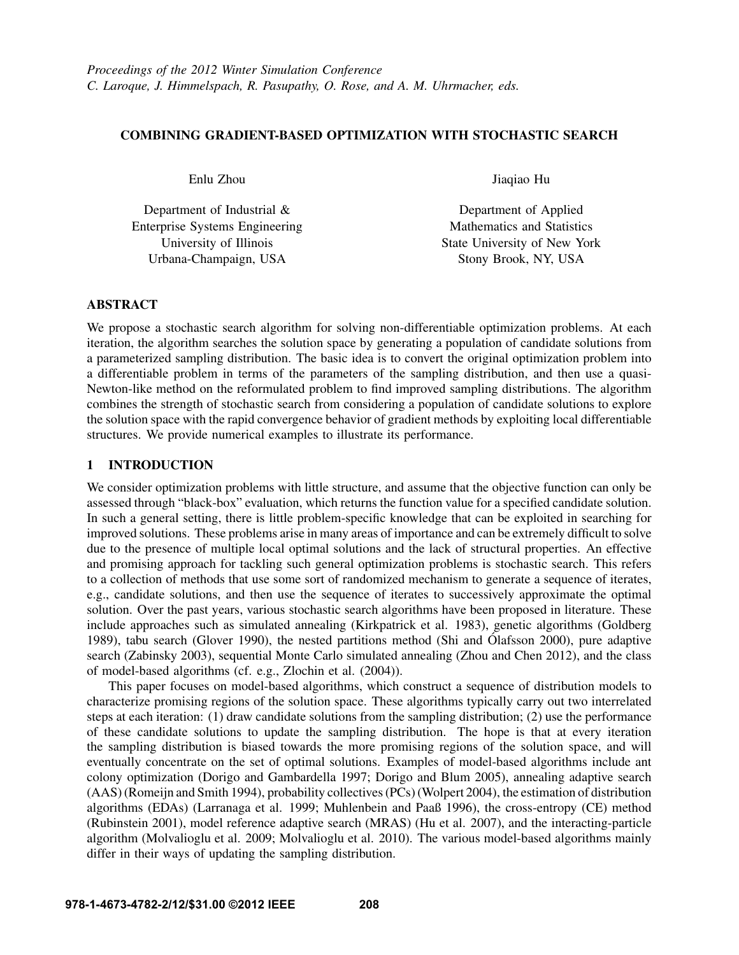# COMBINING GRADIENT-BASED OPTIMIZATION WITH STOCHASTIC SEARCH

Enlu Zhou

Department of Industrial & Enterprise Systems Engineering University of Illinois Urbana-Champaign, USA

Jiaqiao Hu

Department of Applied Mathematics and Statistics State University of New York Stony Brook, NY, USA

# ABSTRACT

We propose a stochastic search algorithm for solving non-differentiable optimization problems. At each iteration, the algorithm searches the solution space by generating a population of candidate solutions from a parameterized sampling distribution. The basic idea is to convert the original optimization problem into a differentiable problem in terms of the parameters of the sampling distribution, and then use a quasi-Newton-like method on the reformulated problem to find improved sampling distributions. The algorithm combines the strength of stochastic search from considering a population of candidate solutions to explore the solution space with the rapid convergence behavior of gradient methods by exploiting local differentiable structures. We provide numerical examples to illustrate its performance.

# 1 INTRODUCTION

We consider optimization problems with little structure, and assume that the objective function can only be assessed through "black-box" evaluation, which returns the function value for a specified candidate solution. In such a general setting, there is little problem-specific knowledge that can be exploited in searching for improved solutions. These problems arise in many areas of importance and can be extremely difficult to solve due to the presence of multiple local optimal solutions and the lack of structural properties. An effective and promising approach for tackling such general optimization problems is stochastic search. This refers to a collection of methods that use some sort of randomized mechanism to generate a sequence of iterates, e.g., candidate solutions, and then use the sequence of iterates to successively approximate the optimal solution. Over the past years, various stochastic search algorithms have been proposed in literature. These include approaches such as simulated annealing (Kirkpatrick et al. 1983), genetic algorithms (Goldberg 1989), tabu search (Glover 1990), the nested partitions method (Shi and Ólafsson 2000), pure adaptive search (Zabinsky 2003), sequential Monte Carlo simulated annealing (Zhou and Chen 2012), and the class of model-based algorithms (cf. e.g., Zlochin et al. (2004)).

This paper focuses on model-based algorithms, which construct a sequence of distribution models to characterize promising regions of the solution space. These algorithms typically carry out two interrelated steps at each iteration: (1) draw candidate solutions from the sampling distribution; (2) use the performance of these candidate solutions to update the sampling distribution. The hope is that at every iteration the sampling distribution is biased towards the more promising regions of the solution space, and will eventually concentrate on the set of optimal solutions. Examples of model-based algorithms include ant colony optimization (Dorigo and Gambardella 1997; Dorigo and Blum 2005), annealing adaptive search (AAS) (Romeijn and Smith 1994), probability collectives (PCs) (Wolpert 2004), the estimation of distribution algorithms (EDAs) (Larranaga et al. 1999; Muhlenbein and Paaß 1996), the cross-entropy (CE) method (Rubinstein 2001), model reference adaptive search (MRAS) (Hu et al. 2007), and the interacting-particle algorithm (Molvalioglu et al. 2009; Molvalioglu et al. 2010). The various model-based algorithms mainly differ in their ways of updating the sampling distribution.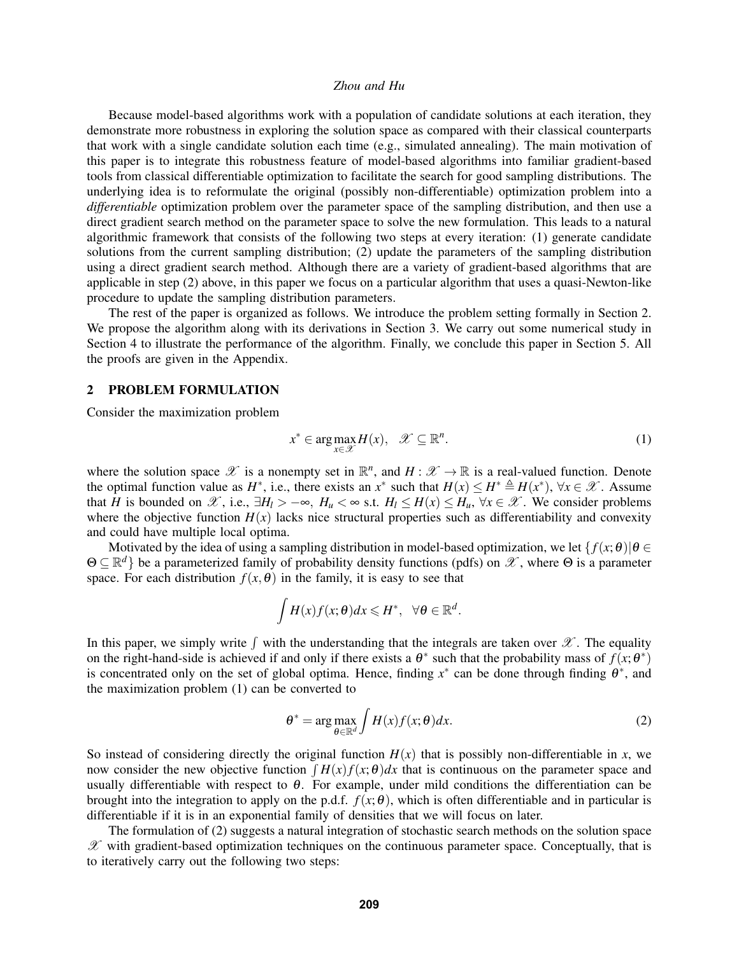Because model-based algorithms work with a population of candidate solutions at each iteration, they demonstrate more robustness in exploring the solution space as compared with their classical counterparts that work with a single candidate solution each time (e.g., simulated annealing). The main motivation of this paper is to integrate this robustness feature of model-based algorithms into familiar gradient-based tools from classical differentiable optimization to facilitate the search for good sampling distributions. The underlying idea is to reformulate the original (possibly non-differentiable) optimization problem into a *differentiable* optimization problem over the parameter space of the sampling distribution, and then use a direct gradient search method on the parameter space to solve the new formulation. This leads to a natural algorithmic framework that consists of the following two steps at every iteration: (1) generate candidate solutions from the current sampling distribution; (2) update the parameters of the sampling distribution using a direct gradient search method. Although there are a variety of gradient-based algorithms that are applicable in step (2) above, in this paper we focus on a particular algorithm that uses a quasi-Newton-like procedure to update the sampling distribution parameters.

The rest of the paper is organized as follows. We introduce the problem setting formally in Section 2. We propose the algorithm along with its derivations in Section 3. We carry out some numerical study in Section 4 to illustrate the performance of the algorithm. Finally, we conclude this paper in Section 5. All the proofs are given in the Appendix.

#### 2 PROBLEM FORMULATION

Consider the maximization problem

$$
x^* \in \arg\max_{x \in \mathcal{X}} H(x), \quad \mathcal{X} \subseteq \mathbb{R}^n. \tag{1}
$$

where the solution space  $\mathscr X$  is a nonempty set in  $\mathbb R^n$ , and  $H: \mathscr X \to \mathbb R$  is a real-valued function. Denote the optimal function value as  $H^*$ , i.e., there exists an  $x^*$  such that  $H(x) \le H^* \triangleq H(x^*)$ ,  $\forall x \in \mathcal{X}$ . Assume that *H* is bounded on  $\mathscr{X}$ , i.e.,  $\exists H_l > -\infty$ ,  $H_u < \infty$  s.t.  $H_l \leq H(x) \leq H_u$ ,  $\forall x \in \mathscr{X}$ . We consider problems where the objective function  $H(x)$  lacks nice structural properties such as differentiability and convexity and could have multiple local optima.

Motivated by the idea of using a sampling distribution in model-based optimization, we let  $\{f(x; \theta) | \theta \in$  $\Theta \subseteq \mathbb{R}^d$  be a parameterized family of probability density functions (pdfs) on  $\mathscr{X}$ , where  $\Theta$  is a parameter space. For each distribution  $f(x, \theta)$  in the family, it is easy to see that

$$
\int H(x)f(x;\theta)dx \leqslant H^*, \quad \forall \theta \in \mathbb{R}^d.
$$

In this paper, we simply write  $\int$  with the understanding that the integrals are taken over  $\mathscr X$ . The equality on the right-hand-side is achieved if and only if there exists a  $\theta^*$  such that the probability mass of  $f(x; \theta^*)$ is concentrated only on the set of global optima. Hence, finding  $x^*$  can be done through finding  $\theta^*$ , and the maximization problem (1) can be converted to

$$
\theta^* = \arg \max_{\theta \in \mathbb{R}^d} \int H(x) f(x; \theta) dx.
$$
 (2)

So instead of considering directly the original function  $H(x)$  that is possibly non-differentiable in *x*, we now consider the new objective function  $\int H(x) f(x; \theta) dx$  that is continuous on the parameter space and usually differentiable with respect to  $\theta$ . For example, under mild conditions the differentiation can be brought into the integration to apply on the p.d.f.  $f(x; \theta)$ , which is often differentiable and in particular is differentiable if it is in an exponential family of densities that we will focus on later.

The formulation of (2) suggests a natural integration of stochastic search methods on the solution space  $\mathscr X$  with gradient-based optimization techniques on the continuous parameter space. Conceptually, that is to iteratively carry out the following two steps: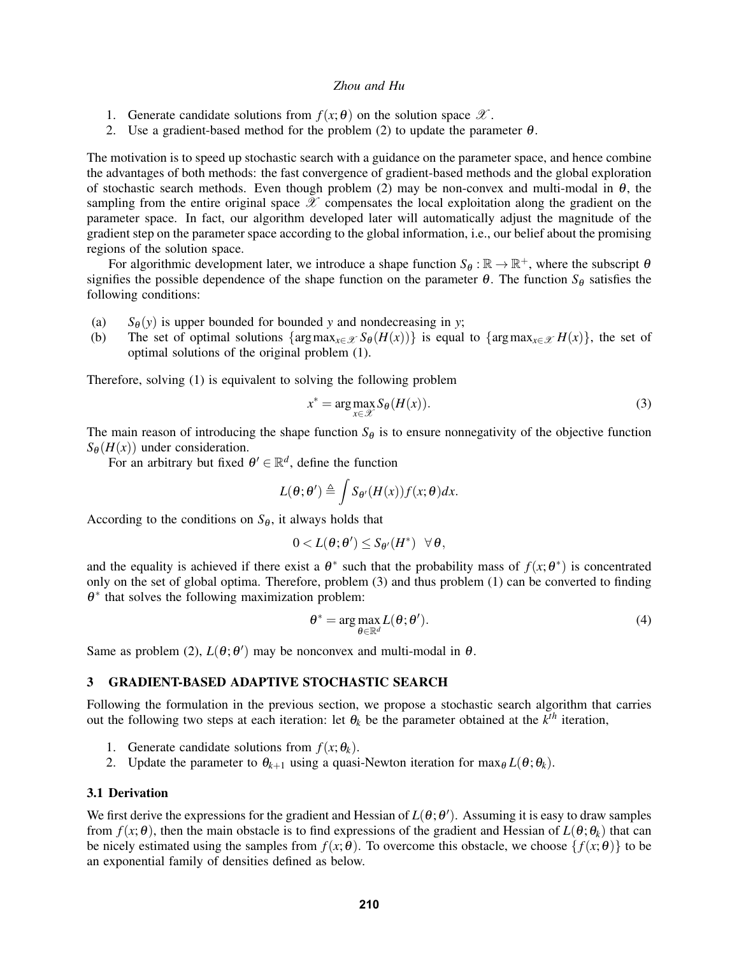- 1. Generate candidate solutions from  $f(x; \theta)$  on the solution space  $\mathscr{X}$ .
- 2. Use a gradient-based method for the problem (2) to update the parameter  $\theta$ .

The motivation is to speed up stochastic search with a guidance on the parameter space, and hence combine the advantages of both methods: the fast convergence of gradient-based methods and the global exploration of stochastic search methods. Even though problem (2) may be non-convex and multi-modal in  $\theta$ , the sampling from the entire original space  $\mathscr X$  compensates the local exploitation along the gradient on the parameter space. In fact, our algorithm developed later will automatically adjust the magnitude of the gradient step on the parameter space according to the global information, i.e., our belief about the promising regions of the solution space.

For algorithmic development later, we introduce a shape function  $S_{\theta} : \mathbb{R} \to \mathbb{R}^+$ , where the subscript  $\theta$ signifies the possible dependence of the shape function on the parameter  $\theta$ . The function  $S_{\theta}$  satisfies the following conditions:

- (a)  $S_{\theta}(y)$  is upper bounded for bounded *y* and nondecreasing in *y*;<br>(b) The set of optimal solutions  $\{\arg \max_{x \in \mathcal{X}} S_{\theta}(H(x))\}$  is equal
- The set of optimal solutions { $\arg \max_{x \in \mathcal{X}} S_{\theta}(H(x))$ } is equal to { $\arg \max_{x \in \mathcal{X}} H(x)$ }, the set of optimal solutions of the original problem (1).

Therefore, solving (1) is equivalent to solving the following problem

$$
x^* = \arg\max_{x \in \mathcal{X}} S_{\theta}(H(x)).
$$
\n(3)

The main reason of introducing the shape function  $S_{\theta}$  is to ensure nonnegativity of the objective function  $S_{\theta}(H(x))$  under consideration.

For an arbitrary but fixed  $\theta' \in \mathbb{R}^d$ , define the function

$$
L(\theta; \theta') \triangleq \int S_{\theta'}(H(x)) f(x; \theta) dx.
$$

According to the conditions on  $S_{\theta}$ , it always holds that

$$
0 < L(\theta; \theta') \leq S_{\theta'}(H^*) \quad \forall \, \theta,
$$

and the equality is achieved if there exist a  $\theta^*$  such that the probability mass of  $f(x; \theta^*)$  is concentrated only on the set of global optima. Therefore, problem (3) and thus problem (1) can be converted to finding  $\theta^*$  that solves the following maximization problem:

$$
\theta^* = \arg \max_{\theta \in \mathbb{R}^d} L(\theta; \theta'). \tag{4}
$$

Same as problem (2),  $L(\theta; \theta')$  may be nonconvex and multi-modal in  $\theta$ .

#### 3 GRADIENT-BASED ADAPTIVE STOCHASTIC SEARCH

Following the formulation in the previous section, we propose a stochastic search algorithm that carries out the following two steps at each iteration: let  $\theta_k$  be the parameter obtained at the  $k^{th}$  iteration,

- 1. Generate candidate solutions from  $f(x; \theta_k)$ .
- 2. Update the parameter to  $\theta_{k+1}$  using a quasi-Newton iteration for  $\max_{\theta} L(\theta; \theta_k)$ .

### 3.1 Derivation

We first derive the expressions for the gradient and Hessian of  $L(\theta; \theta')$ . Assuming it is easy to draw samples from  $f(x; \theta)$ , then the main obstacle is to find expressions of the gradient and Hessian of  $L(\theta; \theta_k)$  that can be nicely estimated using the samples from  $f(x; \theta)$ . To overcome this obstacle, we choose  $\{f(x; \theta)\}\)$  to be an exponential family of densities defined as below.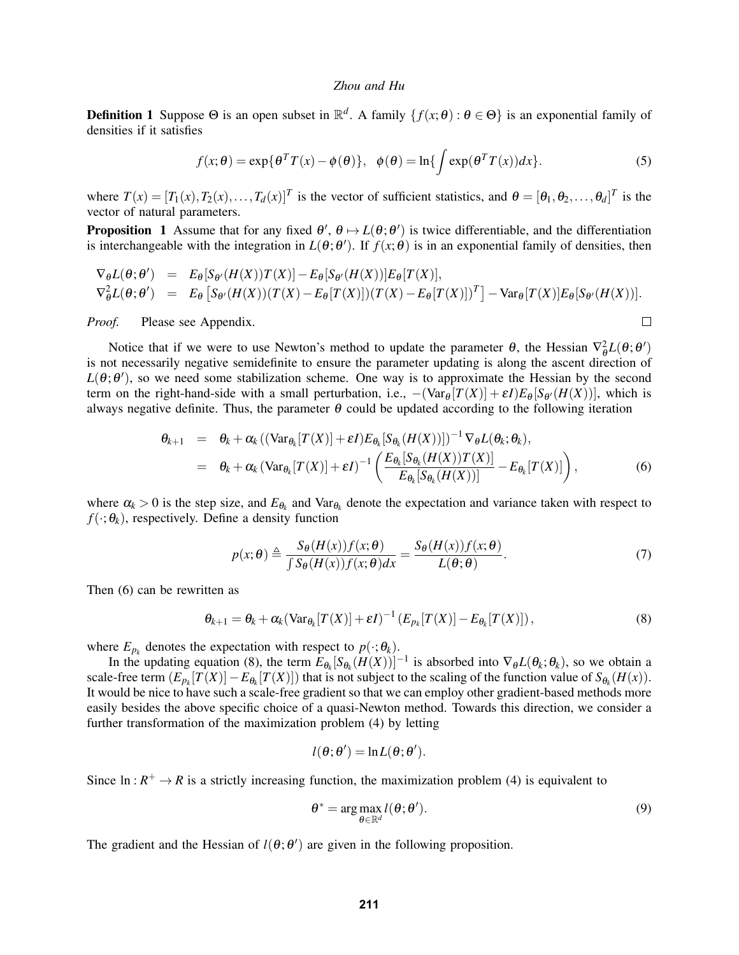**Definition 1** Suppose  $\Theta$  is an open subset in  $\mathbb{R}^d$ . A family  $\{f(x;\theta): \theta \in \Theta\}$  is an exponential family of densities if it satisfies

$$
f(x; \theta) = \exp\{\theta^T T(x) - \phi(\theta)\}, \quad \phi(\theta) = \ln\{\int \exp(\theta^T T(x))dx\}.
$$
 (5)

where  $T(x) = [T_1(x), T_2(x), \ldots, T_d(x)]^T$  is the vector of sufficient statistics, and  $\theta = [\theta_1, \theta_2, \ldots, \theta_d]^T$  is the vector of natural parameters.

**Proposition** 1 Assume that for any fixed  $\theta'$ ,  $\theta \mapsto L(\theta; \theta')$  is twice differentiable, and the differentiation is interchangeable with the integration in  $L(\theta; \theta')$ . If  $f(x; \theta)$  is in an exponential family of densities, then

$$
\nabla_{\theta} L(\theta; \theta') = E_{\theta}[S_{\theta'}(H(X))T(X)] - E_{\theta}[S_{\theta'}(H(X))]E_{\theta}[T(X)],
$$
  
\n
$$
\nabla_{\theta}^{2} L(\theta; \theta') = E_{\theta}[S_{\theta'}(H(X))(T(X) - E_{\theta}[T(X)])(T(X) - E_{\theta}[T(X)])^{T}] - \text{Var}_{\theta}[T(X)]E_{\theta}[S_{\theta'}(H(X))].
$$

*Proof.* Please see Appendix.

Notice that if we were to use Newton's method to update the parameter  $\theta$ , the Hessian  $\nabla^2_{\theta}L(\theta;\theta')$ is not necessarily negative semidefinite to ensure the parameter updating is along the ascent direction of  $L(\theta; \theta')$ , so we need some stabilization scheme. One way is to approximate the Hessian by the second term on the right-hand-side with a small perturbation, i.e.,  $-(\text{Var}_{\theta}[T(X)] + \varepsilon I)E_{\theta}[S_{\theta'}(H(X))]$ , which is always negative definite. Thus, the parameter  $\theta$  could be updated according to the following iteration

$$
\theta_{k+1} = \theta_k + \alpha_k ((\text{Var}_{\theta_k}[T(X)] + \varepsilon I) E_{\theta_k}[S_{\theta_k}(H(X))])^{-1} \nabla_{\theta} L(\theta_k; \theta_k),
$$
  
\n
$$
= \theta_k + \alpha_k (\text{Var}_{\theta_k}[T(X)] + \varepsilon I)^{-1} \left( \frac{E_{\theta_k}[S_{\theta_k}(H(X))T(X)]}{E_{\theta_k}[S_{\theta_k}(H(X))]} - E_{\theta_k}[T(X)] \right),
$$
(6)

where  $\alpha_k > 0$  is the step size, and  $E_{\theta_k}$  and  $Var_{\theta_k}$  denote the expectation and variance taken with respect to  $f(\cdot;\theta_k)$ , respectively. Define a density function

$$
p(x; \theta) \triangleq \frac{S_{\theta}(H(x))f(x; \theta)}{\int S_{\theta}(H(x))f(x; \theta)dx} = \frac{S_{\theta}(H(x))f(x; \theta)}{L(\theta; \theta)}.
$$
(7)

 $\Box$ 

Then (6) can be rewritten as

$$
\theta_{k+1} = \theta_k + \alpha_k (\text{Var}_{\theta_k}[T(X)] + \varepsilon I)^{-1} \left( E_{p_k}[T(X)] - E_{\theta_k}[T(X)] \right),\tag{8}
$$

where  $E_{p_k}$  denotes the expectation with respect to  $p(\cdot;\theta_k)$ .

In the updating equation (8), the term  $E_{\theta_k}[S_{\theta_k}(H(X))]^{-1}$  is absorbed into  $\nabla_{\theta}L(\theta_k;\theta_k)$ , so we obtain a scale-free term  $(E_{p_k}[T(X)] - E_{\theta_k}[T(X)])$  that is not subject to the scaling of the function value of  $S_{\theta_k}(H(x))$ . It would be nice to have such a scale-free gradient so that we can employ other gradient-based methods more easily besides the above specific choice of a quasi-Newton method. Towards this direction, we consider a further transformation of the maximization problem (4) by letting

$$
l(\theta; \theta') = \ln L(\theta; \theta').
$$

Since  $\ln : R^+ \to R$  is a strictly increasing function, the maximization problem (4) is equivalent to

$$
\theta^* = \arg\max_{\theta \in \mathbb{R}^d} l(\theta; \theta'). \tag{9}
$$

The gradient and the Hessian of  $l(\theta; \theta')$  are given in the following proposition.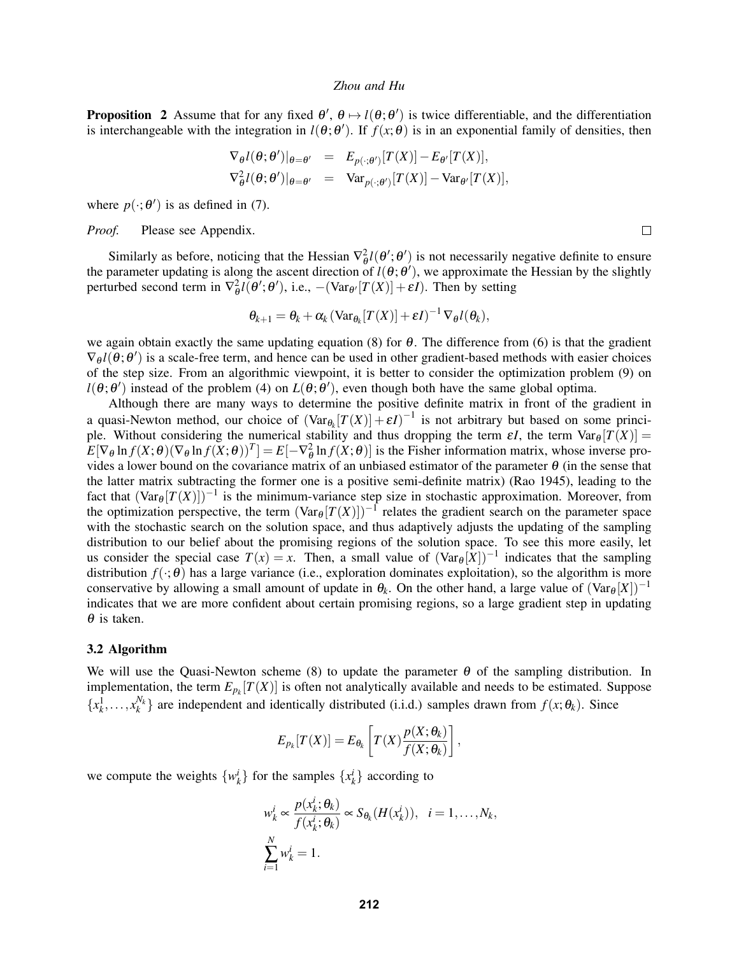**Proposition** 2 Assume that for any fixed  $\theta'$ ,  $\theta \mapsto l(\theta; \theta')$  is twice differentiable, and the differentiation is interchangeable with the integration in  $l(\theta; \theta')$ . If  $f(x; \theta)$  is in an exponential family of densities, then

$$
\nabla_{\theta} l(\theta; \theta')|_{\theta = \theta'} = E_{p(\cdot; \theta')} [T(X)] - E_{\theta'} [T(X)],
$$
  

$$
\nabla_{\theta}^2 l(\theta; \theta')|_{\theta = \theta'} = \text{Var}_{p(\cdot; \theta')} [T(X)] - \text{Var}_{\theta'} [T(X)],
$$

where  $p(\cdot; \theta')$  is as defined in (7).

*Proof.* Please see Appendix.

Similarly as before, noticing that the Hessian  $\nabla^2_{\theta} l(\theta'; \theta')$  is not necessarily negative definite to ensure the parameter updating is along the ascent direction of  $l(\theta; \theta')$ , we approximate the Hessian by the slightly perturbed second term in  $\nabla_{\theta}^2 l(\theta'; \theta')$ , i.e.,  $-(\text{Var}_{\theta'}[T(X)] + \varepsilon I)$ . Then by setting

$$
\theta_{k+1} = \theta_k + \alpha_k \left( \text{Var}_{\theta_k} [T(X)] + \varepsilon I \right)^{-1} \nabla_{\theta} l(\theta_k),
$$

we again obtain exactly the same updating equation (8) for  $\theta$ . The difference from (6) is that the gradient  $\nabla_{\theta} l(\theta; \theta')$  is a scale-free term, and hence can be used in other gradient-based methods with easier choices of the step size. From an algorithmic viewpoint, it is better to consider the optimization problem (9) on  $l(\theta; \theta')$  instead of the problem (4) on  $L(\theta; \theta')$ , even though both have the same global optima.

Although there are many ways to determine the positive definite matrix in front of the gradient in a quasi-Newton method, our choice of  $(\text{Var}_{\theta_k}[T(X)] + \varepsilon I)^{-1}$  is not arbitrary but based on some principle. Without considering the numerical stability and thus dropping the term  $\epsilon I$ , the term  $Var_{\theta}[T(X)] =$  $E[\nabla_{\theta} \ln f(X; \theta)(\nabla_{\theta} \ln f(X; \theta))^T] = E[-\nabla_{\theta}^2 \ln f(X; \theta)]$  is the Fisher information matrix, whose inverse provides a lower bound on the covariance matrix of an unbiased estimator of the parameter  $\theta$  (in the sense that the latter matrix subtracting the former one is a positive semi-definite matrix) (Rao 1945), leading to the fact that  $(\text{Var}_{\theta}[T(X)])^{-1}$  is the minimum-variance step size in stochastic approximation. Moreover, from the optimization perspective, the term  $(\text{Var}_{\theta}[T(X)])^{-1}$  relates the gradient search on the parameter space with the stochastic search on the solution space, and thus adaptively adjusts the updating of the sampling distribution to our belief about the promising regions of the solution space. To see this more easily, let us consider the special case  $T(x) = x$ . Then, a small value of  $(\text{Var}_{\theta}[X])^{-1}$  indicates that the sampling distribution  $f(\cdot; \theta)$  has a large variance (i.e., exploration dominates exploitation), so the algorithm is more conservative by allowing a small amount of update in  $\theta_k$ . On the other hand, a large value of  $(\text{Var}_{\theta}[X])^{-1}$ indicates that we are more confident about certain promising regions, so a large gradient step in updating  $\theta$  is taken.

### 3.2 Algorithm

We will use the Quasi-Newton scheme (8) to update the parameter  $\theta$  of the sampling distribution. In implementation, the term  $E_{p_k}[T(X)]$  is often not analytically available and needs to be estimated. Suppose  ${x_k^1, \ldots, x_k^{N_k}}$  are independent and identically distributed (i.i.d.) samples drawn from  $f(x; \theta_k)$ . Since

$$
E_{p_k}[T(X)] = E_{\theta_k}\left[T(X)\frac{p(X;\theta_k)}{f(X;\theta_k)}\right],
$$

we compute the weights  $\{w_k^i\}$  for the samples  $\{x_k^i\}$  according to

$$
w_k^i \propto \frac{p(x_k^i; \theta_k)}{f(x_k^i; \theta_k)} \propto S_{\theta_k}(H(x_k^i)), \quad i = 1, \dots, N_k,
$$
  

$$
\sum_{i=1}^N w_k^i = 1.
$$

 $\Box$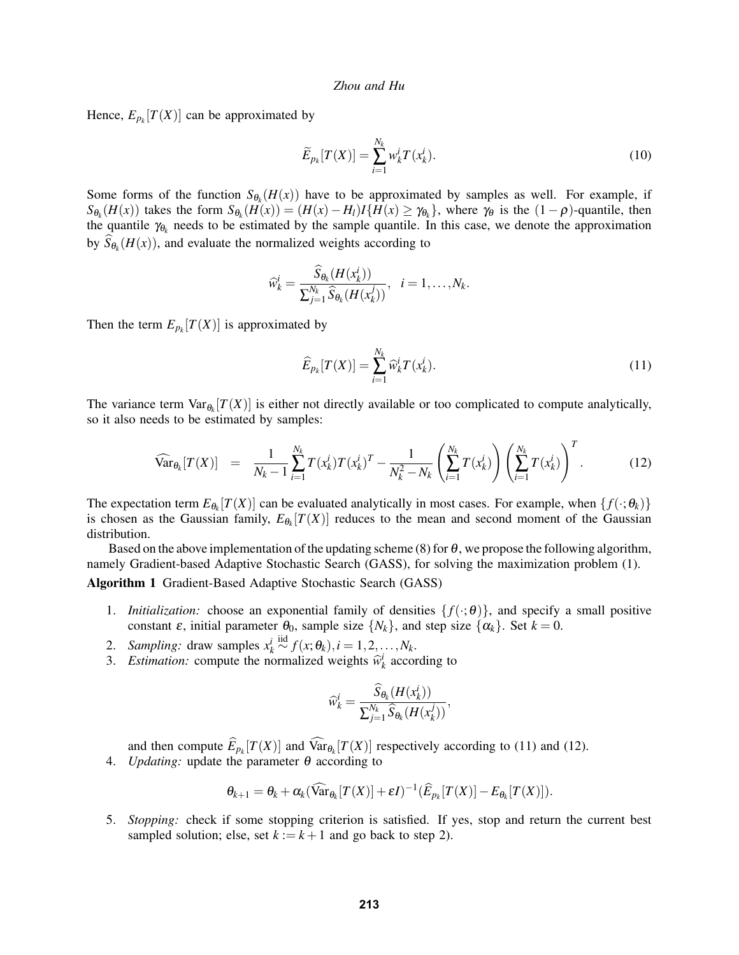Hence,  $E_{p_k}[T(X)]$  can be approximated by

$$
\widetilde{E}_{p_k}[T(X)] = \sum_{i=1}^{N_k} w_k^i T(x_k^i).
$$
\n(10)

Some forms of the function  $S_{\theta_k}(H(x))$  have to be approximated by samples as well. For example, if  $S_{\theta_k}(H(x))$  takes the form  $S_{\theta_k}(H(x)) = (H(x) - H_l)I\{H(x) \geq \gamma_{\theta_k}\}\,$ , where  $\gamma_{\theta}$  is the  $(1 - \rho)$ -quantile, then the quantile  $\gamma_{\theta_k}$  needs to be estimated by the sample quantile. In this case, we denote the approximation by  $S_{\theta_k}(H(x))$ , and evaluate the normalized weights according to

$$
\widehat{w}_k^i = \frac{\widehat{S}_{\theta_k}(H(x_k^i))}{\sum_{j=1}^{N_k} \widehat{S}_{\theta_k}(H(x_k^j))}, \quad i = 1, \ldots, N_k.
$$

Then the term  $E_{p_k}[T(X)]$  is approximated by

$$
\widehat{E}_{p_k}[T(X)] = \sum_{i=1}^{N_k} \widehat{w}_k^i T(x_k^i). \tag{11}
$$

The variance term  $Var_{\theta_k}[T(X)]$  is either not directly available or too complicated to compute analytically, so it also needs to be estimated by samples:

$$
\widehat{\text{Var}}_{\theta_k}[T(X)] = \frac{1}{N_k - 1} \sum_{i=1}^{N_k} T(x_k^i) T(x_k^i)^T - \frac{1}{N_k^2 - N_k} \left( \sum_{i=1}^{N_k} T(x_k^i) \right) \left( \sum_{i=1}^{N_k} T(x_k^i) \right)^T. \tag{12}
$$

The expectation term  $E_{\theta_k}[T(X)]$  can be evaluated analytically in most cases. For example, when  $\{f(\cdot;\theta_k)\}$ is chosen as the Gaussian family,  $E_{\theta_k}[T(X)]$  reduces to the mean and second moment of the Gaussian distribution.

Based on the above implementation of the updating scheme (8) for  $\theta$ , we propose the following algorithm, namely Gradient-based Adaptive Stochastic Search (GASS), for solving the maximization problem (1). Algorithm 1 Gradient-Based Adaptive Stochastic Search (GASS)

- 1. *Initialization:* choose an exponential family of densities  $\{f(\cdot;\theta)\}\$ , and specify a small positive constant  $\varepsilon$ , initial parameter  $\theta_0$ , sample size  $\{N_k\}$ , and step size  $\{\alpha_k\}$ . Set  $k = 0$ .
- 2. *Sampling:* draw samples  $x_k^i \stackrel{\text{iid}}{\sim} f(x; \theta_k), i = 1, 2, \dots, N_k$ .
- 3. *Estimation:* compute the normalized weights  $\hat{w}_k^i$  according to

$$
\widehat{w}_k^i = \frac{\widehat{S}_{\boldsymbol{\theta}_k}(H(\textit{\textbf{x}}_k^i))}{\sum_{j=1}^{N_k} \widehat{S}_{\boldsymbol{\theta}_k}(H(\textit{\textbf{x}}_k^j))},
$$

and then compute  $E_{p_k}[T(X)]$  and  $Var_{\theta_k}[T(X)]$  respectively according to (11) and (12).

4. *Updating:* update the parameter  $\theta$  according to

$$
\theta_{k+1} = \theta_k + \alpha_k (\widehat{\text{Var}}_{\theta_k}[T(X)] + \varepsilon I)^{-1} (\widehat{E}_{p_k}[T(X)] - E_{\theta_k}[T(X)]).
$$

5. *Stopping:* check if some stopping criterion is satisfied. If yes, stop and return the current best sampled solution; else, set  $k := k + 1$  and go back to step 2).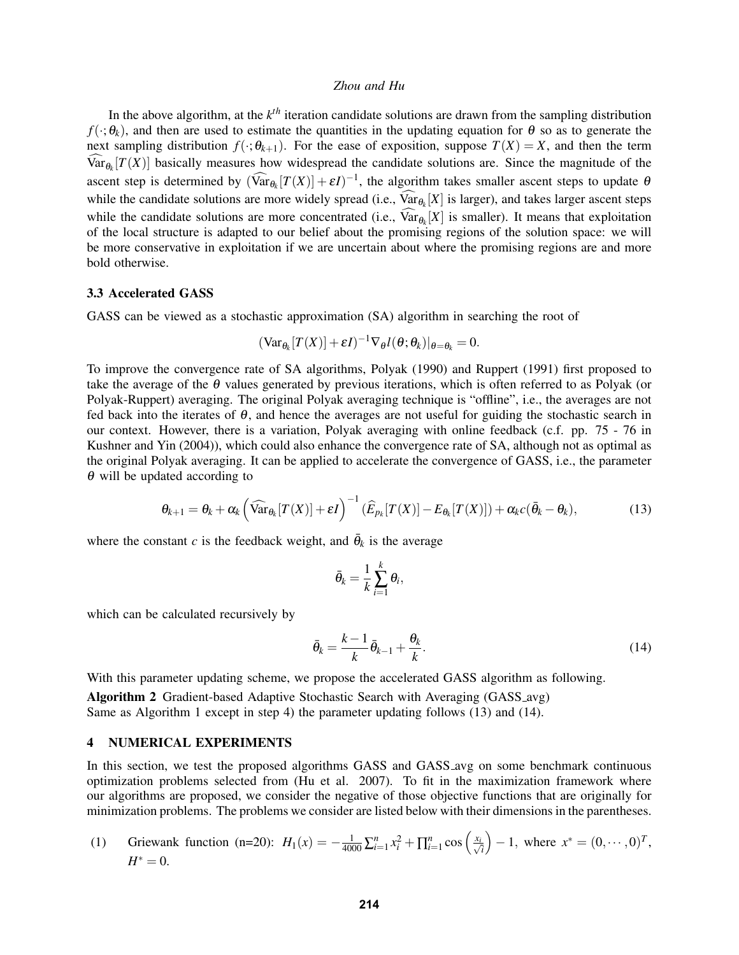In the above algorithm, at the  $k^{th}$  iteration candidate solutions are drawn from the sampling distribution  $f(\cdot;\theta_k)$ , and then are used to estimate the quantities in the updating equation for  $\theta$  so as to generate the next sampling distribution  $f(\cdot; \theta_{k+1})$ . For the ease of exposition, suppose  $T(X) = X$ , and then the term  $Var_{\theta_k}[T(X)]$  basically measures how widespread the candidate solutions are. Since the magnitude of the ascent step is determined by  $(\widehat{\text{Var}}_{\theta_k}[T(X)] + \varepsilon I)^{-1}$ , the algorithm takes smaller ascent steps to update  $\theta$ while the candidate solutions are more widely spread (i.e.,  $Var_{\theta_k}[X]$  is larger), and takes larger ascent steps while the candidate solutions are more concentrated (i.e.,  $\text{Var}_{\theta_k}[X]$  is smaller). It means that exploitation of the local structure is adapted to our belief about the promising regions of the solution space: we will be more conservative in exploitation if we are uncertain about where the promising regions are and more bold otherwise.

### 3.3 Accelerated GASS

GASS can be viewed as a stochastic approximation (SA) algorithm in searching the root of

$$
(\text{Var}_{\theta_k}[T(X)] + \varepsilon I)^{-1} \nabla_{\theta} l(\theta; \theta_k)|_{\theta = \theta_k} = 0.
$$

To improve the convergence rate of SA algorithms, Polyak (1990) and Ruppert (1991) first proposed to take the average of the  $\theta$  values generated by previous iterations, which is often referred to as Polyak (or Polyak-Ruppert) averaging. The original Polyak averaging technique is "offline", i.e., the averages are not fed back into the iterates of  $\theta$ , and hence the averages are not useful for guiding the stochastic search in our context. However, there is a variation, Polyak averaging with online feedback (c.f. pp. 75 - 76 in Kushner and Yin (2004)), which could also enhance the convergence rate of SA, although not as optimal as the original Polyak averaging. It can be applied to accelerate the convergence of GASS, i.e., the parameter  $\theta$  will be updated according to

$$
\theta_{k+1} = \theta_k + \alpha_k \left( \widehat{\text{Var}}_{\theta_k}[T(X)] + \varepsilon I \right)^{-1} (\widehat{E}_{p_k}[T(X)] - E_{\theta_k}[T(X)]) + \alpha_k c(\bar{\theta}_k - \theta_k), \tag{13}
$$

where the constant *c* is the feedback weight, and  $\bar{\theta}_k$  is the average

$$
\bar{\theta}_k = \frac{1}{k} \sum_{i=1}^k \theta_i,
$$

which can be calculated recursively by

$$
\bar{\theta}_k = \frac{k-1}{k} \bar{\theta}_{k-1} + \frac{\theta_k}{k}.
$$
\n(14)

With this parameter updating scheme, we propose the accelerated GASS algorithm as following. Algorithm 2 Gradient-based Adaptive Stochastic Search with Averaging (GASS avg) Same as Algorithm 1 except in step 4) the parameter updating follows (13) and (14).

## 4 NUMERICAL EXPERIMENTS

In this section, we test the proposed algorithms GASS and GASS avg on some benchmark continuous optimization problems selected from (Hu et al. 2007). To fit in the maximization framework where our algorithms are proposed, we consider the negative of those objective functions that are originally for minimization problems. The problems we consider are listed below with their dimensions in the parentheses.

(1) Griewank function (n=20): 
$$
H_1(x) = -\frac{1}{4000} \sum_{i=1}^n x_i^2 + \prod_{i=1}^n \cos\left(\frac{x_i}{\sqrt{i}}\right) - 1
$$
, where  $x^* = (0, \dots, 0)^T$ ,  $H^* = 0$ .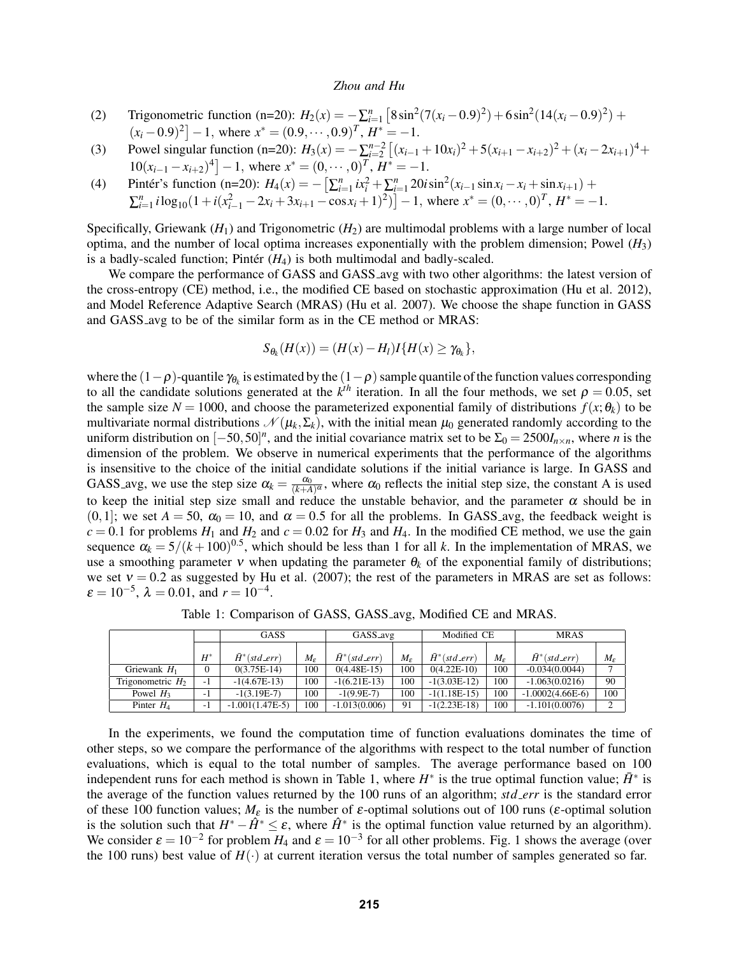- (2) Trigonometric function (n=20):  $H_2(x) = -\sum_{i=1}^n \left[ 8 \sin^2(7(x_i 0.9)^2) + 6 \sin^2(14(x_i 0.9)^2) + \cdots \right]$  $(x_i - 0.9)^2$  - 1, where  $x^* = (0.9, \cdots, 0.9)^T$ ,  $H^* = -1$ .
- (3) Powel singular function (n=20):  $H_3(x) = -\sum_{i=2}^{n-2} \left[ (x_{i-1} + 10x_i)^2 + 5(x_{i+1} x_{i+2})^2 + (x_i 2x_{i+1})^4 + \right]$  $10(x_{i-1} - x_{i+2})^4$  - 1, where  $x^* = (0, \dots, 0)^T$ ,  $H^* = -1$ .
- (4) Pintér's function (n=20):  $H_4(x) = -\left[\sum_{i=1}^n ix_i^2 + \sum_{i=1}^n 20i\sin^2(x_{i-1}\sin x_i x_i + \sin x_{i+1}) + \right]$  $\sum_{i=1}^{n} i \log_{10} (1 + i(x_{i-1}^2 - 2x_i + 3x_{i+1} - \cos x_i + 1)^2) - 1$ , where  $x^* = (0, \dots, 0)^T$ ,  $H^* = -1$ .

Specifically, Griewank  $(H_1)$  and Trigonometric  $(H_2)$  are multimodal problems with a large number of local optima, and the number of local optima increases exponentially with the problem dimension; Powel (*H*3) is a badly-scaled function; Pintér  $(H_4)$  is both multimodal and badly-scaled.

We compare the performance of GASS and GASS avg with two other algorithms: the latest version of the cross-entropy (CE) method, i.e., the modified CE based on stochastic approximation (Hu et al. 2012), and Model Reference Adaptive Search (MRAS) (Hu et al. 2007). We choose the shape function in GASS and GASS avg to be of the similar form as in the CE method or MRAS:

$$
S_{\theta_k}(H(x))=(H(x)-H_l)I\{H(x)\geq \gamma_{\theta_k}\},\
$$

where the  $(1-\rho)$ -quantile  $\gamma_{\theta_k}$  is estimated by the  $(1-\rho)$  sample quantile of the function values corresponding to all the candidate solutions generated at the  $k^{th}$  iteration. In all the four methods, we set  $\rho = 0.05$ , set the sample size  $N = 1000$ , and choose the parameterized exponential family of distributions  $f(x; \theta_k)$  to be multivariate normal distributions  $\mathcal{N}(\mu_k, \Sigma_k)$ , with the initial mean  $\mu_0$  generated randomly according to the uniform distribution on  $[-50, 50]^n$ , and the initial covariance matrix set to be  $\Sigma_0 = 2500 I_{n \times n}$ , where *n* is the dimension of the problem. We observe in numerical experiments that the performance of the algorithms is insensitive to the choice of the initial candidate solutions if the initial variance is large. In GASS and GASS avg, we use the step size  $\alpha_k = \frac{\alpha_0}{(k+A)^{\alpha}}$ , where  $\alpha_0$  reflects the initial step size, the constant A is used to keep the initial step size small and reduce the unstable behavior, and the parameter  $\alpha$  should be in  $(0,1]$ ; we set  $A = 50$ ,  $\alpha_0 = 10$ , and  $\alpha = 0.5$  for all the problems. In GASS avg, the feedback weight is  $c = 0.1$  for problems  $H_1$  and  $H_2$  and  $c = 0.02$  for  $H_3$  and  $H_4$ . In the modified CE method, we use the gain sequence  $\alpha_k = 5/(k+100)^{0.5}$ , which should be less than 1 for all *k*. In the implementation of MRAS, we use a smoothing parameter v when updating the parameter  $\theta_k$  of the exponential family of distributions; we set  $v = 0.2$  as suggested by Hu et al. (2007); the rest of the parameters in MRAS are set as follows:  $\varepsilon = 10^{-5}$ ,  $\lambda = 0.01$ , and  $r = 10^{-4}$ .

|                     |          | GASS                  |                                     | GASS_avg              |                                     | Modified CE           |                   | <b>MRAS</b>           |                   |
|---------------------|----------|-----------------------|-------------------------------------|-----------------------|-------------------------------------|-----------------------|-------------------|-----------------------|-------------------|
|                     | $H^*$    | $\bar{H}^*(std\_err)$ | $M_{\scriptscriptstyle\mathcal{F}}$ | $\bar{H}^*(std\_err)$ | $M_{\scriptscriptstyle\mathcal{F}}$ | $\bar{H}^*(std\_err)$ | $M_{\varepsilon}$ | $\bar{H}^*(std\_err)$ | $M_{\varepsilon}$ |
| Griewank $H_1$      | $\Omega$ | $0(3.75E-14)$         | 100                                 | $0(4.48E-15)$         | 100                                 | $0(4.22E-10)$         | 100               | $-0.034(0.0044)$      | $\overline{ }$    |
| Trigonometric $H_2$ | $-1$     | $-1(4.67E-13)$        | 100                                 | $-1(6.21E-13)$        | 100                                 | $-1(3.03E-12)$        | 100               | $-1.063(0.0216)$      | 90                |
| Powel $H_3$         | - 1      | $-1(3.19E-7)$         | 100                                 | $-1(9.9E-7)$          | 100                                 | $-1(1.18E-15)$        | 100               | $-1.0002(4.66E-6)$    | 100               |
| Pinter $H_4$        | - 1      | $-1.001(1.47E-5)$     | 100                                 | $-1.013(0.006)$       | 91                                  | $-1(2.23E-18)$        | 100               | $-1.101(0.0076)$      | $\sim$            |

Table 1: Comparison of GASS, GASS avg, Modified CE and MRAS.

In the experiments, we found the computation time of function evaluations dominates the time of other steps, so we compare the performance of the algorithms with respect to the total number of function evaluations, which is equal to the total number of samples. The average performance based on 100 independent runs for each method is shown in Table 1, where  $H^*$  is the true optimal function value;  $\bar{H}^*$  is the average of the function values returned by the 100 runs of an algorithm; *std err* is the standard error of these 100 function values;  $M_{\varepsilon}$  is the number of  $\varepsilon$ -optimal solutions out of 100 runs ( $\varepsilon$ -optimal solution is the solution such that  $H^* - \hat{H}^* \leq \varepsilon$ , where  $\hat{H}^*$  is the optimal function value returned by an algorithm). We consider  $\varepsilon = 10^{-2}$  for problem  $H_4$  and  $\varepsilon = 10^{-3}$  for all other problems. Fig. 1 shows the average (over the 100 runs) best value of  $H(\cdot)$  at current iteration versus the total number of samples generated so far.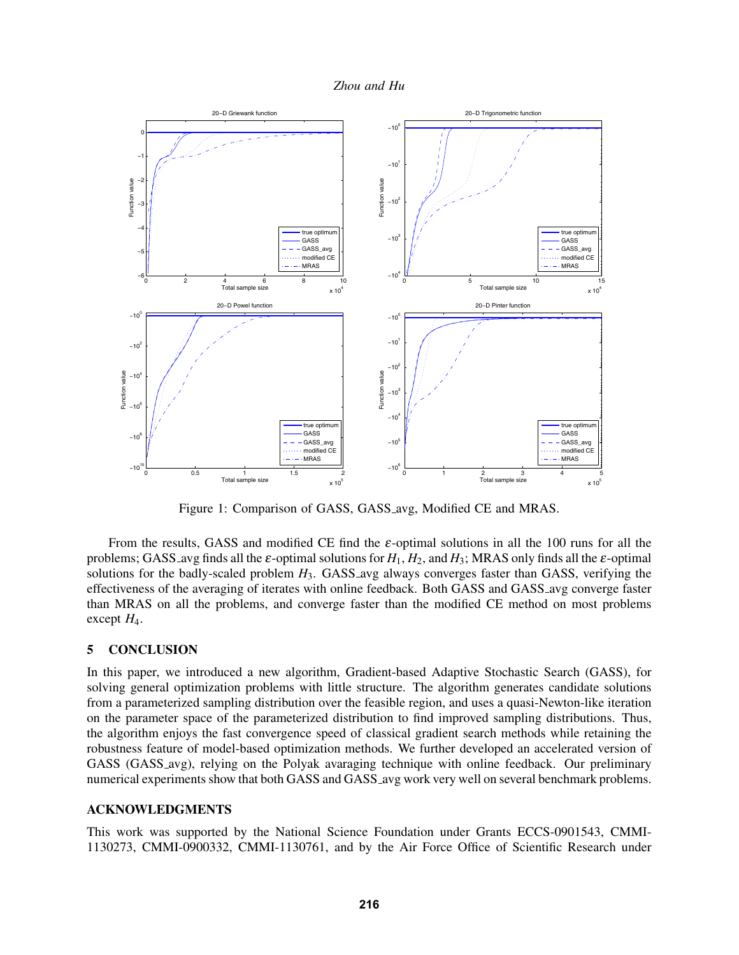



Figure 1: Comparison of GASS, GASS avg, Modified CE and MRAS.

From the results, GASS and modified CE find the  $\varepsilon$ -optimal solutions in all the 100 runs for all the problems; GASS\_avg finds all the  $\varepsilon$ -optimal solutions for  $H_1, H_2$ , and  $H_3$ ; MRAS only finds all the  $\varepsilon$ -optimal solutions for the badly-scaled problem *H*<sub>3</sub>. GASS avg always converges faster than GASS, verifying the effectiveness of the averaging of iterates with online feedback. Both GASS and GASS avg converge faster than MRAS on all the problems, and converge faster than the modified CE method on most problems except  $H_4$ .

## 5 CONCLUSION

In this paper, we introduced a new algorithm, Gradient-based Adaptive Stochastic Search (GASS), for solving general optimization problems with little structure. The algorithm generates candidate solutions from a parameterized sampling distribution over the feasible region, and uses a quasi-Newton-like iteration on the parameter space of the parameterized distribution to find improved sampling distributions. Thus, the algorithm enjoys the fast convergence speed of classical gradient search methods while retaining the robustness feature of model-based optimization methods. We further developed an accelerated version of GASS (GASS avg), relying on the Polyak avaraging technique with online feedback. Our preliminary numerical experiments show that both GASS and GASS avg work very well on several benchmark problems.

## ACKNOWLEDGMENTS

This work was supported by the National Science Foundation under Grants ECCS-0901543, CMMI-1130273, CMMI-0900332, CMMI-1130761, and by the Air Force Office of Scientific Research under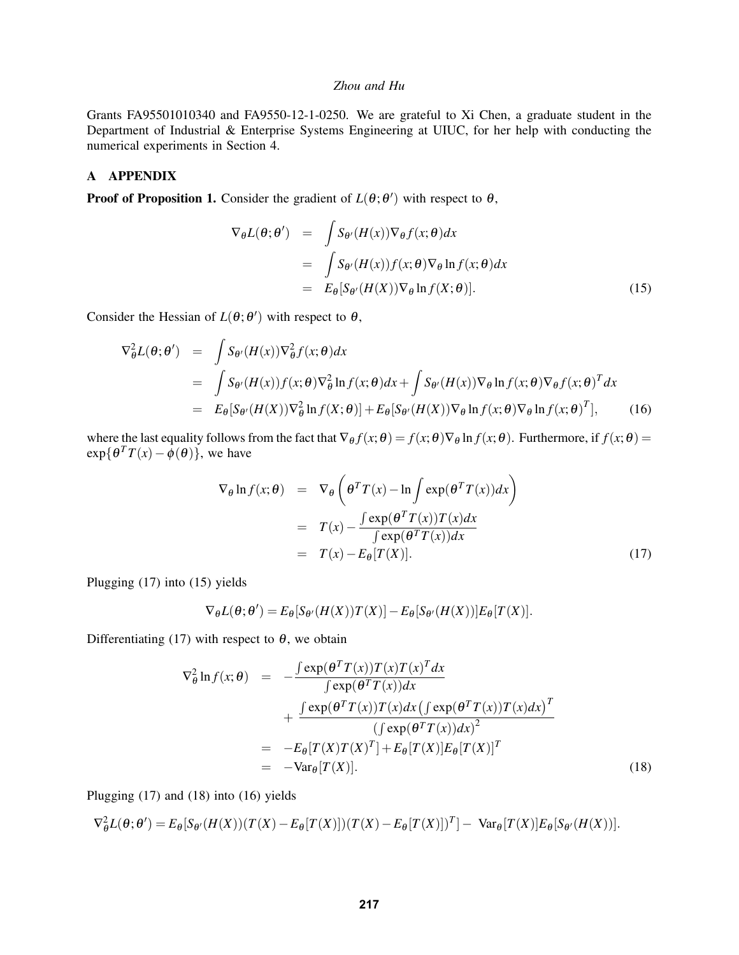Grants FA95501010340 and FA9550-12-1-0250. We are grateful to Xi Chen, a graduate student in the Department of Industrial & Enterprise Systems Engineering at UIUC, for her help with conducting the numerical experiments in Section 4.

# A APPENDIX

**Proof of Proposition 1.** Consider the gradient of  $L(\theta; \theta')$  with respect to  $\theta$ ,

$$
\nabla_{\theta}L(\theta; \theta') = \int S_{\theta'}(H(x)) \nabla_{\theta}f(x; \theta) dx
$$
  
\n
$$
= \int S_{\theta'}(H(x)) f(x; \theta) \nabla_{\theta} \ln f(x; \theta) dx
$$
  
\n
$$
= E_{\theta} [S_{\theta'}(H(X)) \nabla_{\theta} \ln f(X; \theta)].
$$
\n(15)

Consider the Hessian of  $L(\theta; \theta')$  with respect to  $\theta$ ,

$$
\nabla_{\theta}^{2} L(\theta; \theta') = \int S_{\theta'}(H(x)) \nabla_{\theta}^{2} f(x; \theta) dx
$$
  
\n
$$
= \int S_{\theta'}(H(x)) f(x; \theta) \nabla_{\theta}^{2} \ln f(x; \theta) dx + \int S_{\theta'}(H(x)) \nabla_{\theta} \ln f(x; \theta) \nabla_{\theta} f(x; \theta)^{T} dx
$$
  
\n
$$
= E_{\theta} [S_{\theta'}(H(X)) \nabla_{\theta}^{2} \ln f(X; \theta)] + E_{\theta} [S_{\theta'}(H(X)) \nabla_{\theta} \ln f(x; \theta) \nabla_{\theta} \ln f(x; \theta)^{T}], \qquad (16)
$$

where the last equality follows from the fact that  $\nabla_{\theta} f(x; \theta) = f(x; \theta) \nabla_{\theta} \ln f(x; \theta)$ . Furthermore, if  $f(x; \theta) =$  $\exp{\{\theta^T T(x) - \phi(\theta)\}}$ , we have

$$
\nabla_{\theta} \ln f(x; \theta) = \nabla_{\theta} \left( \theta^T T(x) - \ln \int \exp(\theta^T T(x)) dx \right)
$$
  
\n
$$
= T(x) - \frac{\int \exp(\theta^T T(x)) T(x) dx}{\int \exp(\theta^T T(x)) dx}
$$
  
\n
$$
= T(x) - E_{\theta}[T(X)]. \tag{17}
$$

Plugging (17) into (15) yields

$$
\nabla_{\theta}L(\theta;\theta') = E_{\theta}[S_{\theta'}(H(X))T(X)] - E_{\theta}[S_{\theta'}(H(X))]E_{\theta}[T(X)].
$$

Differentiating (17) with respect to  $\theta$ , we obtain

$$
\nabla_{\theta}^{2} \ln f(x; \theta) = -\frac{\int \exp(\theta^{T} T(x)) T(x) T(x)^{T} dx}{\int \exp(\theta^{T} T(x)) dx} \n+ \frac{\int \exp(\theta^{T} T(x)) T(x) dx (\int \exp(\theta^{T} T(x)) T(x) dx)^{T}}{(\int \exp(\theta^{T} T(x)) dx)^{2}} \n= -E_{\theta}[T(X) T(X)^{T}] + E_{\theta}[T(X)] E_{\theta}[T(X)]^{T} \n= -Var_{\theta}[T(X)].
$$
\n(18)

Plugging (17) and (18) into (16) yields

$$
\nabla_{\theta}^{2} L(\theta; \theta') = E_{\theta}[S_{\theta'}(H(X))(T(X) - E_{\theta}[T(X)])(T(X) - E_{\theta}[T(X)])^{T}] - \text{Var}_{\theta}[T(X)]E_{\theta}[S_{\theta'}(H(X))].
$$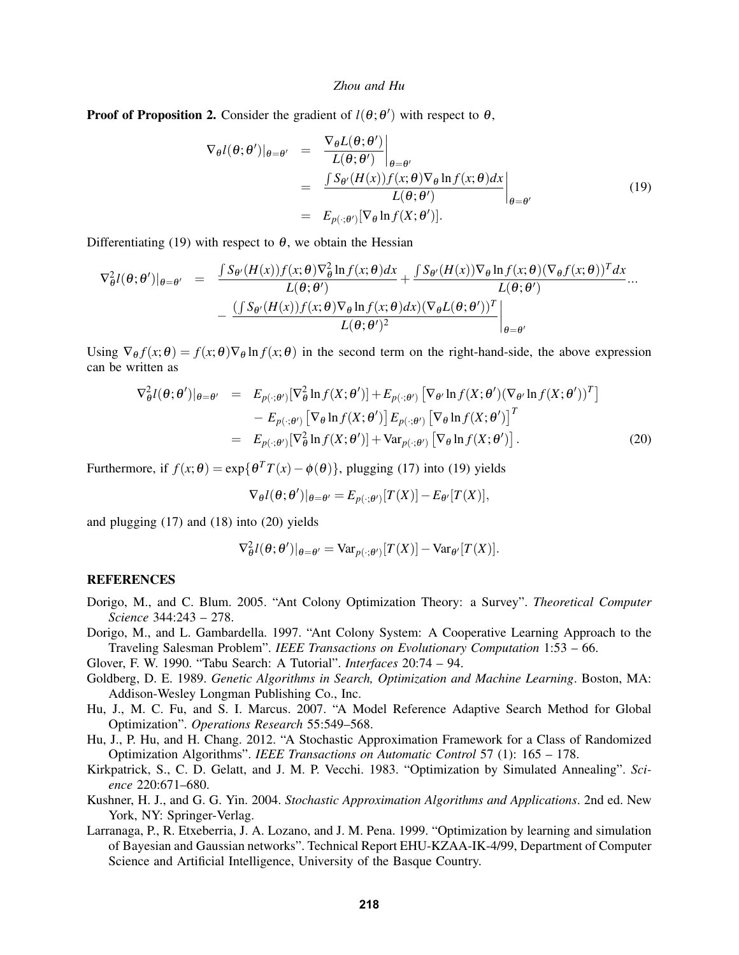**Proof of Proposition 2.** Consider the gradient of  $l(\theta; \theta')$  with respect to  $\theta$ ,

$$
\nabla_{\theta}l(\theta;\theta')|_{\theta=\theta'} = \frac{\nabla_{\theta}L(\theta;\theta')}{L(\theta;\theta')}\Big|_{\theta=\theta'}\n= \frac{\int S_{\theta'}(H(x))f(x;\theta)\nabla_{\theta}\ln f(x;\theta)dx}{L(\theta;\theta')}\Big|_{\theta=\theta'}\n= E_{p(\cdot;\theta')}[\nabla_{\theta}\ln f(X;\theta')].
$$
\n(19)

Differentiating (19) with respect to  $\theta$ , we obtain the Hessian

$$
\nabla_{\theta}^{2} l(\theta; \theta')|_{\theta = \theta'} = \frac{\int S_{\theta'}(H(x)) f(x; \theta) \nabla_{\theta}^{2} \ln f(x; \theta) dx}{L(\theta; \theta')} + \frac{\int S_{\theta'}(H(x)) \nabla_{\theta} \ln f(x; \theta) (\nabla_{\theta} f(x; \theta))^{T} dx}{L(\theta; \theta')} ...
$$

$$
-\frac{(\int S_{\theta'}(H(x)) f(x; \theta) \nabla_{\theta} \ln f(x; \theta) dx)(\nabla_{\theta} L(\theta; \theta'))^{T}}{L(\theta; \theta')^{2}}|_{\theta = \theta'}
$$

Using  $\nabla_{\theta} f(x; \theta) = f(x; \theta) \nabla_{\theta} \ln f(x; \theta)$  in the second term on the right-hand-side, the above expression can be written as

$$
\nabla_{\theta}^{2} l(\theta; \theta')|_{\theta = \theta'} = E_{p(\cdot; \theta')} [\nabla_{\theta}^{2} \ln f(X; \theta')] + E_{p(\cdot; \theta')} [\nabla_{\theta'} \ln f(X; \theta') (\nabla_{\theta'} \ln f(X; \theta'))^{T}]
$$
  
\n
$$
- E_{p(\cdot; \theta')} [\nabla_{\theta} \ln f(X; \theta')] E_{p(\cdot; \theta')} [\nabla_{\theta} \ln f(X; \theta')]^{T}
$$
  
\n
$$
= E_{p(\cdot; \theta')} [\nabla_{\theta}^{2} \ln f(X; \theta')] + \text{Var}_{p(\cdot; \theta')} [\nabla_{\theta} \ln f(X; \theta')]. \tag{20}
$$

Furthermore, if  $f(x; \theta) = \exp{\lbrace \theta^T T(x) - \phi(\theta) \rbrace}$ , plugging (17) into (19) yields

$$
\nabla_{\theta} l(\theta; \theta')|_{\theta = \theta'} = E_{p(\cdot; \theta')}[T(X)] - E_{\theta'}[T(X)],
$$

and plugging (17) and (18) into (20) yields

$$
\nabla_{\theta}^{2} l(\theta; \theta')|_{\theta = \theta'} = \text{Var}_{p(\cdot; \theta')}[T(X)] - \text{Var}_{\theta'}[T(X)].
$$

### **REFERENCES**

- Dorigo, M., and C. Blum. 2005. "Ant Colony Optimization Theory: a Survey". *Theoretical Computer Science* 344:243 – 278.
- Dorigo, M., and L. Gambardella. 1997. "Ant Colony System: A Cooperative Learning Approach to the Traveling Salesman Problem". *IEEE Transactions on Evolutionary Computation* 1:53 – 66.
- Glover, F. W. 1990. "Tabu Search: A Tutorial". *Interfaces* 20:74 94.
- Goldberg, D. E. 1989. *Genetic Algorithms in Search, Optimization and Machine Learning*. Boston, MA: Addison-Wesley Longman Publishing Co., Inc.
- Hu, J., M. C. Fu, and S. I. Marcus. 2007. "A Model Reference Adaptive Search Method for Global Optimization". *Operations Research* 55:549–568.
- Hu, J., P. Hu, and H. Chang. 2012. "A Stochastic Approximation Framework for a Class of Randomized Optimization Algorithms". *IEEE Transactions on Automatic Control* 57 (1): 165 – 178.
- Kirkpatrick, S., C. D. Gelatt, and J. M. P. Vecchi. 1983. "Optimization by Simulated Annealing". *Science* 220:671–680.
- Kushner, H. J., and G. G. Yin. 2004. *Stochastic Approximation Algorithms and Applications*. 2nd ed. New York, NY: Springer-Verlag.
- Larranaga, P., R. Etxeberria, J. A. Lozano, and J. M. Pena. 1999. "Optimization by learning and simulation of Bayesian and Gaussian networks". Technical Report EHU-KZAA-IK-4/99, Department of Computer Science and Artificial Intelligence, University of the Basque Country.